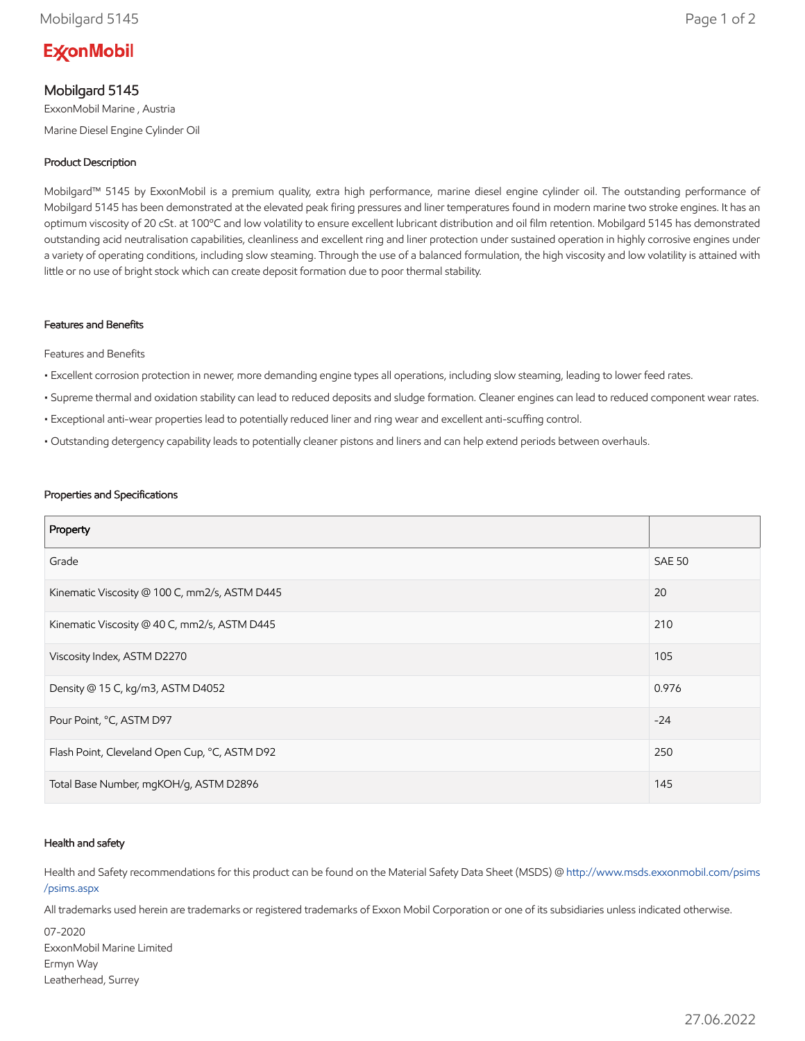# **ExconMobil**

# Mobilgard 5145

ExxonMobil Marine , Austria Marine Diesel Engine Cylinder Oil

## Product Description

Mobilgard™ 5145 by ExxonMobil is a premium quality, extra high performance, marine diesel engine cylinder oil. The outstanding performance of Mobilgard 5145 has been demonstrated at the elevated peak firing pressures and liner temperatures found in modern marine two stroke engines. It has an optimum viscosity of 20 cSt. at 100ºC and low volatility to ensure excellent lubricant distribution and oil film retention. Mobilgard 5145 has demonstrated outstanding acid neutralisation capabilities, cleanliness and excellent ring and liner protection under sustained operation in highly corrosive engines under a variety of operating conditions, including slow steaming. Through the use of a balanced formulation, the high viscosity and low volatility is attained with little or no use of bright stock which can create deposit formation due to poor thermal stability.

#### Features and Benefits

Features and Benefits

- Excellent corrosion protection in newer, more demanding engine types all operations, including slow steaming, leading to lower feed rates.
- Supreme thermal and oxidation stability can lead to reduced deposits and sludge formation. Cleaner engines can lead to reduced component wear rates.
- Exceptional anti-wear properties lead to potentially reduced liner and ring wear and excellent anti-scuffing control.
- Outstanding detergency capability leads to potentially cleaner pistons and liners and can help extend periods between overhauls.

#### Properties and Specifications

| Property                                            |               |
|-----------------------------------------------------|---------------|
| Grade                                               | <b>SAE 50</b> |
| Kinematic Viscosity @ 100 C, mm2/s, ASTM D445       | 20            |
| 210<br>Kinematic Viscosity @ 40 C, mm2/s, ASTM D445 |               |
| Viscosity Index, ASTM D2270                         |               |
| Density @ 15 C, kg/m3, ASTM D4052<br>0.976          |               |
| $-24$<br>Pour Point, °C, ASTM D97                   |               |
| Flash Point, Cleveland Open Cup, °C, ASTM D92       | 250           |
| Total Base Number, mgKOH/g, ASTM D2896              | 145           |

#### Health and safety

Health and Safety recommendations for this product can be found on the Material Safety Data Sheet (MSDS) @ [http://www.msds.exxonmobil.com/psims](http://www.msds.exxonmobil.com/psims/psims.aspx) /psims.aspx

All trademarks used herein are trademarks or registered trademarks of Exxon Mobil Corporation or one of its subsidiaries unless indicated otherwise.

07-2020 ExxonMobil Marine Limited Ermyn Way Leatherhead, Surrey